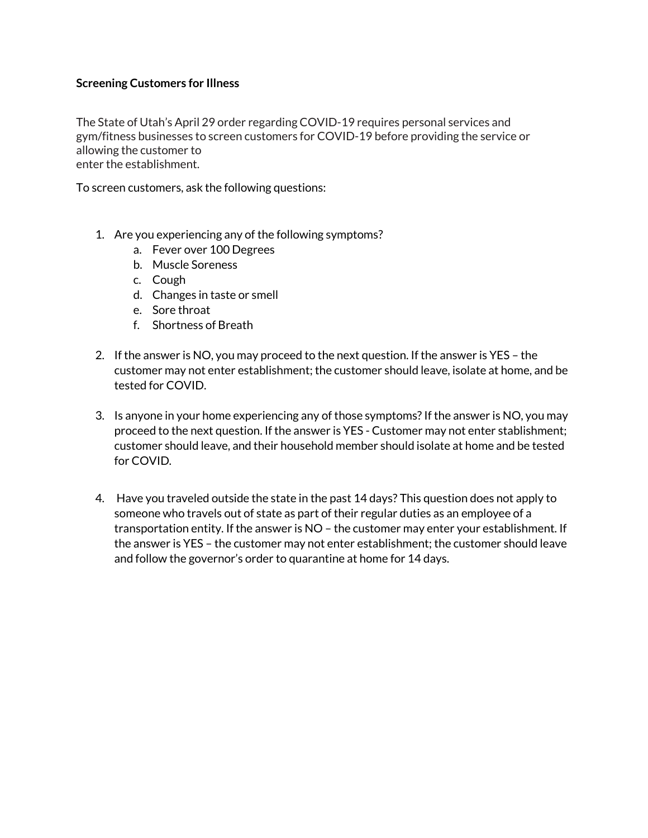## **Screening Customers for Illness**

The State of Utah's April 29 order regarding COVID-19 requires personal services and gym/fitness businesses to screen customers for COVID-19 before providing the service or allowing the customer to enter the establishment.

To screen customers, ask the following questions:

- 1. Are you experiencing any of the following symptoms?
	- a. Fever over 100 Degrees
	- b. Muscle Soreness
	- c. Cough
	- d. Changes in taste or smell
	- e. Sore throat
	- f. Shortness of Breath
- 2. If the answer is NO, you may proceed to the next question. If the answer is YES the customer may not enter establishment; the customer should leave, isolate at home, and be tested for COVID.
- 3. Is anyone in your home experiencing any of those symptoms? If the answer is NO, you may proceed to the next question. If the answer is YES - Customer may not enter stablishment; customer should leave, and their household member should isolate at home and be tested for COVID.
- 4. Have you traveled outside the state in the past 14 days? This question does not apply to someone who travels out of state as part of their regular duties as an employee of a transportation entity. If the answer is NO – the customer may enter your establishment. If the answer is YES – the customer may not enter establishment; the customer should leave and follow the governor's order to quarantine at home for 14 days.